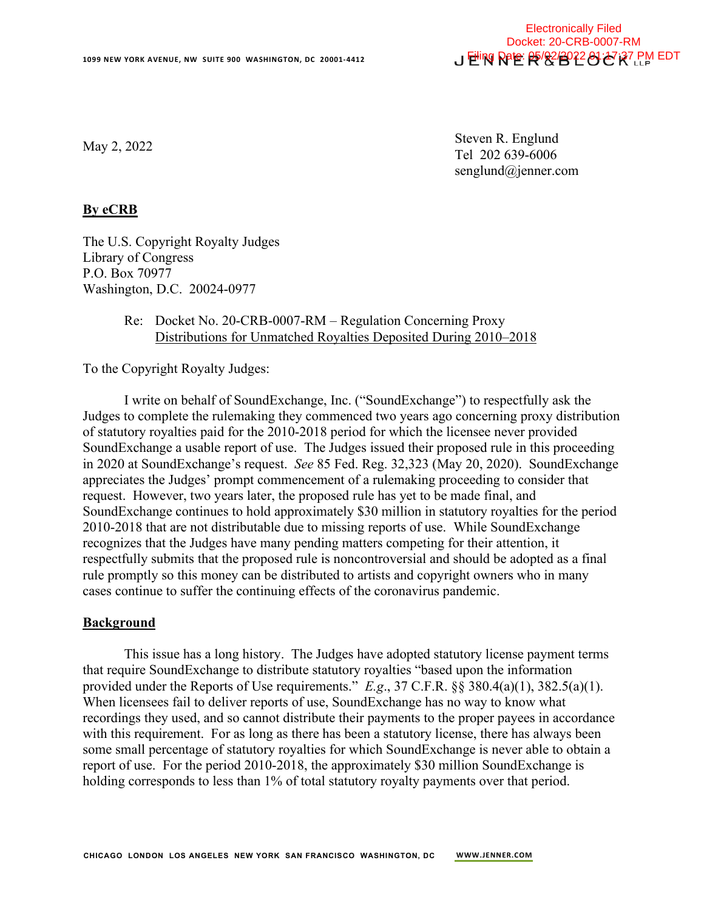

May 2, 2022

Steven R. Englund Tel 202 639-6006 senglund@jenner.com

## **By eCRB**

The U.S. Copyright Royalty Judges Library of Congress P.O. Box 70977 Washington, D.C. 20024-0977

## Re: Docket No. 20-CRB-0007-RM – Regulation Concerning Proxy Distributions for Unmatched Royalties Deposited During 2010–2018

To the Copyright Royalty Judges:

I write on behalf of SoundExchange, Inc. ("SoundExchange") to respectfully ask the Judges to complete the rulemaking they commenced two years ago concerning proxy distribution of statutory royalties paid for the 2010-2018 period for which the licensee never provided SoundExchange a usable report of use. The Judges issued their proposed rule in this proceeding in 2020 at SoundExchange's request. *See* 85 Fed. Reg. 32,323 (May 20, 2020). SoundExchange appreciates the Judges' prompt commencement of a rulemaking proceeding to consider that request. However, two years later, the proposed rule has yet to be made final, and SoundExchange continues to hold approximately \$30 million in statutory royalties for the period 2010-2018 that are not distributable due to missing reports of use. While SoundExchange recognizes that the Judges have many pending matters competing for their attention, it respectfully submits that the proposed rule is noncontroversial and should be adopted as a final rule promptly so this money can be distributed to artists and copyright owners who in many cases continue to suffer the continuing effects of the coronavirus pandemic.

#### **Background**

This issue has a long history. The Judges have adopted statutory license payment terms that require SoundExchange to distribute statutory royalties "based upon the information provided under the Reports of Use requirements." *E.g*., 37 C.F.R. §§ 380.4(a)(1), 382.5(a)(1). When licensees fail to deliver reports of use, SoundExchange has no way to know what recordings they used, and so cannot distribute their payments to the proper payees in accordance with this requirement. For as long as there has been a statutory license, there has always been some small percentage of statutory royalties for which SoundExchange is never able to obtain a report of use. For the period 2010-2018, the approximately \$30 million SoundExchange is holding corresponds to less than 1% of total statutory royalty payments over that period.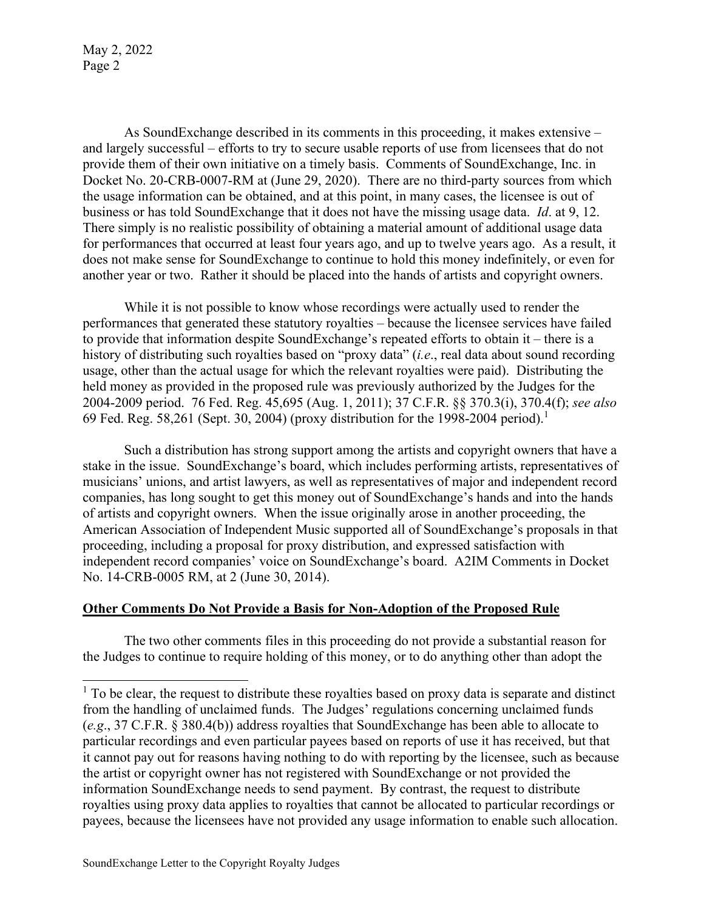May 2, 2022 Page 2

As SoundExchange described in its comments in this proceeding, it makes extensive – and largely successful – efforts to try to secure usable reports of use from licensees that do not provide them of their own initiative on a timely basis. Comments of SoundExchange, Inc. in Docket No. 20-CRB-0007-RM at (June 29, 2020). There are no third-party sources from which the usage information can be obtained, and at this point, in many cases, the licensee is out of business or has told SoundExchange that it does not have the missing usage data. *Id*. at 9, 12. There simply is no realistic possibility of obtaining a material amount of additional usage data for performances that occurred at least four years ago, and up to twelve years ago. As a result, it does not make sense for SoundExchange to continue to hold this money indefinitely, or even for another year or two. Rather it should be placed into the hands of artists and copyright owners.

While it is not possible to know whose recordings were actually used to render the performances that generated these statutory royalties – because the licensee services have failed to provide that information despite SoundExchange's repeated efforts to obtain it – there is a history of distributing such royalties based on "proxy data" (*i.e*., real data about sound recording usage, other than the actual usage for which the relevant royalties were paid). Distributing the held money as provided in the proposed rule was previously authorized by the Judges for the 2004-2009 period. 76 Fed. Reg. 45,695 (Aug. 1, 2011); 37 C.F.R. §§ 370.3(i), 370.4(f); *see also* 69Fed. Reg. 58,261 (Sept. 30, 2004) (proxy distribution for the 1998-2004 period).<sup>1</sup>

Such a distribution has strong support among the artists and copyright owners that have a stake in the issue. SoundExchange's board, which includes performing artists, representatives of musicians' unions, and artist lawyers, as well as representatives of major and independent record companies, has long sought to get this money out of SoundExchange's hands and into the hands of artists and copyright owners. When the issue originally arose in another proceeding, the American Association of Independent Music supported all of SoundExchange's proposals in that proceeding, including a proposal for proxy distribution, and expressed satisfaction with independent record companies' voice on SoundExchange's board. A2IM Comments in Docket No. 14-CRB-0005 RM, at 2 (June 30, 2014).

# **Other Comments Do Not Provide a Basis for Non-Adoption of the Proposed Rule**

The two other comments files in this proceeding do not provide a substantial reason for the Judges to continue to require holding of this money, or to do anything other than adopt the

<span id="page-1-0"></span> $<sup>1</sup>$  To be clear, the request to distribute these royalties based on proxy data is separate and distinct</sup> from the handling of unclaimed funds. The Judges' regulations concerning unclaimed funds (*e.g*., 37 C.F.R. § 380.4(b)) address royalties that SoundExchange has been able to allocate to particular recordings and even particular payees based on reports of use it has received, but that it cannot pay out for reasons having nothing to do with reporting by the licensee, such as because the artist or copyright owner has not registered with SoundExchange or not provided the information SoundExchange needs to send payment. By contrast, the request to distribute royalties using proxy data applies to royalties that cannot be allocated to particular recordings or payees, because the licensees have not provided any usage information to enable such allocation.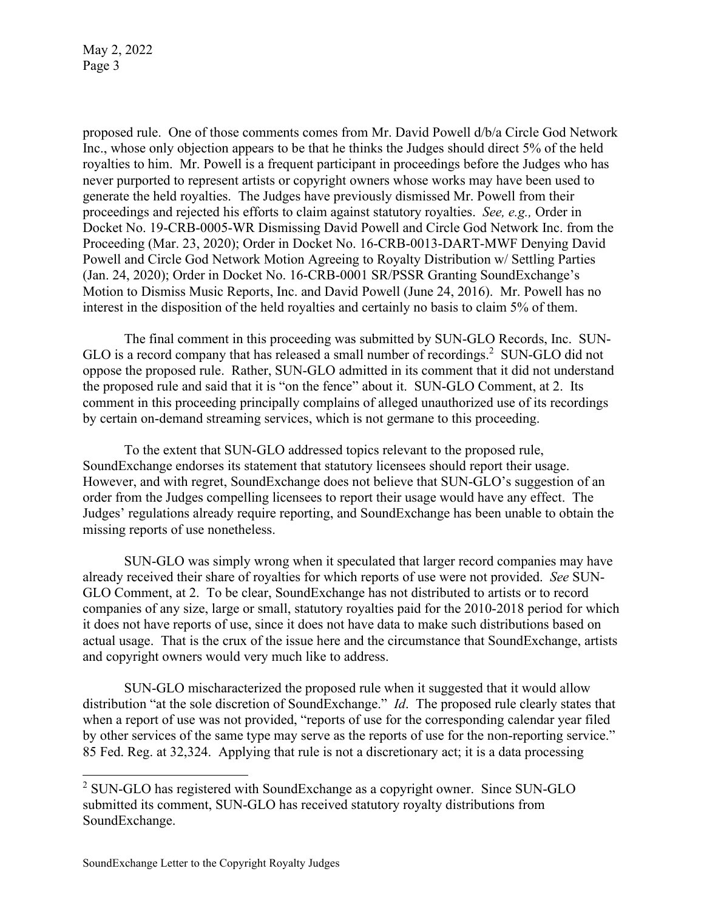May 2, 2022 Page 3

proposed rule. One of those comments comes from Mr. David Powell d/b/a Circle God Network Inc., whose only objection appears to be that he thinks the Judges should direct 5% of the held royalties to him. Mr. Powell is a frequent participant in proceedings before the Judges who has never purported to represent artists or copyright owners whose works may have been used to generate the held royalties. The Judges have previously dismissed Mr. Powell from their proceedings and rejected his efforts to claim against statutory royalties. *See, e.g.,* Order in Docket No. 19-CRB-0005-WR Dismissing David Powell and Circle God Network Inc. from the Proceeding (Mar. 23, 2020); Order in Docket No. 16-CRB-0013-DART-MWF Denying David Powell and Circle God Network Motion Agreeing to Royalty Distribution w/ Settling Parties (Jan. 24, 2020); Order in Docket No. 16-CRB-0001 SR/PSSR Granting SoundExchange's Motion to Dismiss Music Reports, Inc. and David Powell (June 24, 2016). Mr. Powell has no interest in the disposition of the held royalties and certainly no basis to claim 5% of them.

The final comment in this proceeding was submitted by SUN-GLO Records, Inc. SUN-GLO is a record company that has released a small number of recordings[.](#page-2-0) $2$  SUN-GLO did not oppose the proposed rule. Rather, SUN-GLO admitted in its comment that it did not understand the proposed rule and said that it is "on the fence" about it. SUN-GLO Comment, at 2. Its comment in this proceeding principally complains of alleged unauthorized use of its recordings by certain on-demand streaming services, which is not germane to this proceeding.

To the extent that SUN-GLO addressed topics relevant to the proposed rule, SoundExchange endorses its statement that statutory licensees should report their usage. However, and with regret, SoundExchange does not believe that SUN-GLO's suggestion of an order from the Judges compelling licensees to report their usage would have any effect. The Judges' regulations already require reporting, and SoundExchange has been unable to obtain the missing reports of use nonetheless.

SUN-GLO was simply wrong when it speculated that larger record companies may have already received their share of royalties for which reports of use were not provided. *See* SUN-GLO Comment, at 2. To be clear, SoundExchange has not distributed to artists or to record companies of any size, large or small, statutory royalties paid for the 2010-2018 period for which it does not have reports of use, since it does not have data to make such distributions based on actual usage. That is the crux of the issue here and the circumstance that SoundExchange, artists and copyright owners would very much like to address.

SUN-GLO mischaracterized the proposed rule when it suggested that it would allow distribution "at the sole discretion of SoundExchange." *Id*. The proposed rule clearly states that when a report of use was not provided, "reports of use for the corresponding calendar year filed by other services of the same type may serve as the reports of use for the non-reporting service." 85 Fed. Reg. at 32,324. Applying that rule is not a discretionary act; it is a data processing

<span id="page-2-0"></span><sup>&</sup>lt;sup>2</sup> SUN-GLO has registered with SoundExchange as a copyright owner. Since SUN-GLO submitted its comment, SUN-GLO has received statutory royalty distributions from SoundExchange.